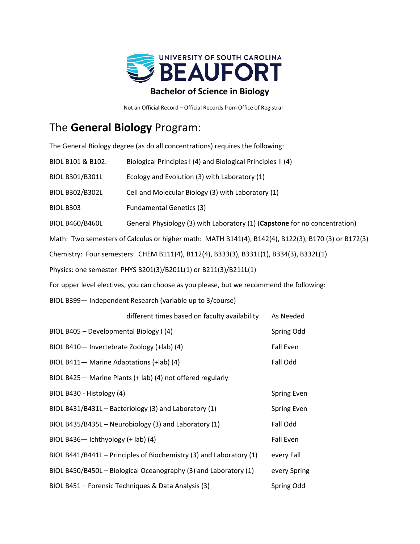

Not an Official Record – Official Records from Office of Registrar

## The **General Biology** Program:

The General Biology degree (as do all concentrations) requires the following:

| BIOL B101 & B102:                                                                                   | Biological Principles I (4) and Biological Principles II (4)               |           |  |  |  |  |  |
|-----------------------------------------------------------------------------------------------------|----------------------------------------------------------------------------|-----------|--|--|--|--|--|
| <b>BIOL B301/B301L</b>                                                                              | Ecology and Evolution (3) with Laboratory (1)                              |           |  |  |  |  |  |
| <b>BIOL B302/B302L</b>                                                                              | Cell and Molecular Biology (3) with Laboratory (1)                         |           |  |  |  |  |  |
| <b>BIOL B303</b>                                                                                    | <b>Fundamental Genetics (3)</b>                                            |           |  |  |  |  |  |
| <b>BIOL B460/B460L</b>                                                                              | General Physiology (3) with Laboratory (1) (Capstone for no concentration) |           |  |  |  |  |  |
| Math: Two semesters of Calculus or higher math: MATH B141(4), B142(4), B122(3), B170 (3) or B172(3) |                                                                            |           |  |  |  |  |  |
| Chemistry: Four semesters: CHEM B111(4), B112(4), B333(3), B331L(1), B334(3), B332L(1)              |                                                                            |           |  |  |  |  |  |
| Physics: one semester: PHYS B201(3)/B201L(1) or B211(3)/B211L(1)                                    |                                                                            |           |  |  |  |  |  |
| For upper level electives, you can choose as you please, but we recommend the following:            |                                                                            |           |  |  |  |  |  |
| BIOL B399- Independent Research (variable up to 3/course)                                           |                                                                            |           |  |  |  |  |  |
|                                                                                                     | different times based on faculty availability                              | As Needed |  |  |  |  |  |
| BIOL B405 - Developmental Biology I (4)                                                             | Spring Odd                                                                 |           |  |  |  |  |  |
| BIOL B410- Invertebrate Zoology (+lab) (4)                                                          | <b>Fall Even</b>                                                           |           |  |  |  |  |  |
| BIOL B411- Marine Adaptations (+lab) (4)                                                            | Fall Odd                                                                   |           |  |  |  |  |  |
| BIOL B425 - Marine Plants (+ lab) (4) not offered regularly                                         |                                                                            |           |  |  |  |  |  |
| BIOL B430 - Histology (4)                                                                           | <b>Spring Even</b>                                                         |           |  |  |  |  |  |
| BIOL B431/B431L - Bacteriology (3) and Laboratory (1)                                               | Spring Even                                                                |           |  |  |  |  |  |
| BIOL B435/B435L - Neurobiology (3) and Laboratory (1)                                               | Fall Odd                                                                   |           |  |  |  |  |  |
| BIOL B436- Ichthyology (+ lab) (4)                                                                  | <b>Fall Even</b>                                                           |           |  |  |  |  |  |
| BIOL B441/B441L - Principles of Biochemistry (3) and Laboratory (1)                                 | every Fall                                                                 |           |  |  |  |  |  |
| BIOL B450/B450L - Biological Oceanography (3) and Laboratory (1)                                    | every Spring                                                               |           |  |  |  |  |  |
|                                                                                                     |                                                                            |           |  |  |  |  |  |

BIOL B451 – Forensic Techniques & Data Analysis (3) Spring Odd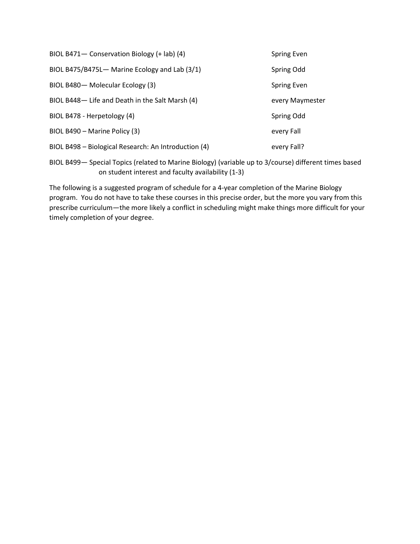| BIOL B471- Conservation Biology (+ lab) (4)          | <b>Spring Even</b> |
|------------------------------------------------------|--------------------|
| BIOL B475/B475L- Marine Ecology and Lab (3/1)        | Spring Odd         |
| BIOL B480- Molecular Ecology (3)                     | Spring Even        |
| BIOL B448- Life and Death in the Salt Marsh (4)      | every Maymester    |
| BIOL B478 - Herpetology (4)                          | Spring Odd         |
| BIOL B490 - Marine Policy (3)                        | every Fall         |
| BIOL B498 – Biological Research: An Introduction (4) | every Fall?        |

BIOL B499— Special Topics (related to Marine Biology) (variable up to 3/course) different times based on student interest and faculty availability (1-3)

The following is a suggested program of schedule for a 4-year completion of the Marine Biology program. You do not have to take these courses in this precise order, but the more you vary from this prescribe curriculum—the more likely a conflict in scheduling might make things more difficult for your timely completion of your degree.